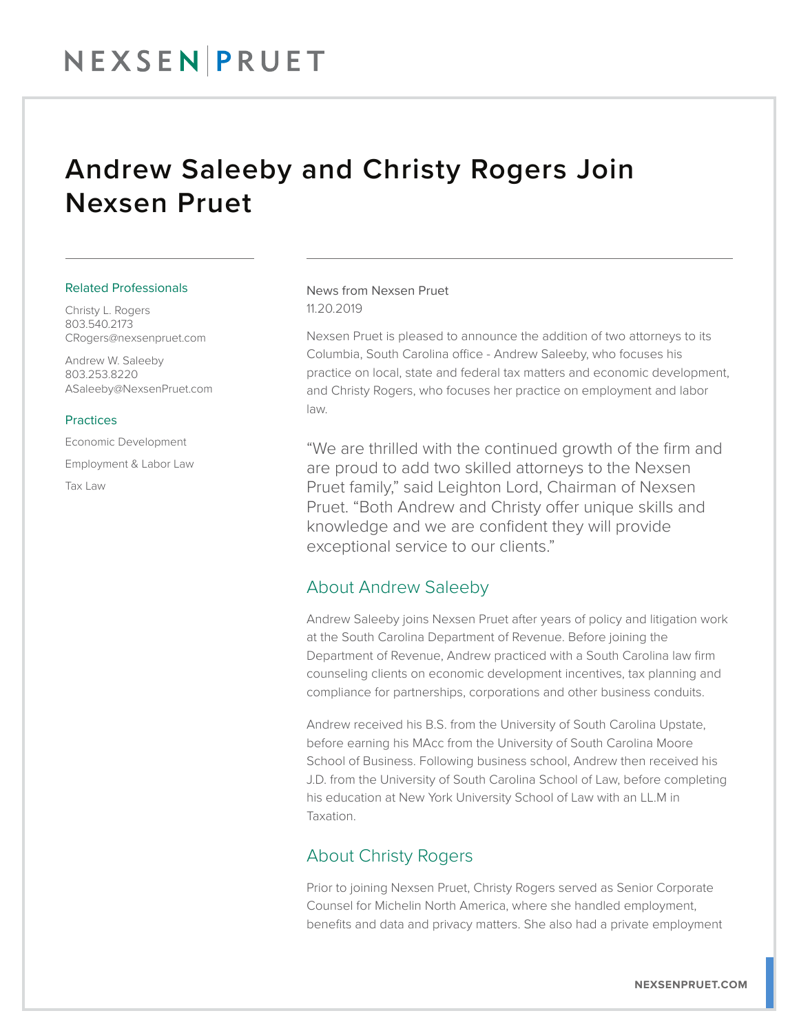## Andrew Saleeby and Christy Rogers Join Nexsen Pruet

#### Related Professionals

Christy L. Rogers 803.540.2173 CRogers@nexsenpruet.com

Andrew W. Saleeby 803.253.8220 ASaleeby@NexsenPruet.com

#### **Practices**

Economic Development Employment & Labor Law Tax Law

News from Nexsen Pruet 11.20.2019

Nexsen Pruet is pleased to announce the addition of two attorneys to its Columbia, South Carolina office - Andrew Saleeby, who focuses his practice on local, state and federal tax matters and economic development, and Christy Rogers, who focuses her practice on employment and labor law.

"We are thrilled with the continued growth of the firm and are proud to add two skilled attorneys to the Nexsen Pruet family," said Leighton Lord, Chairman of Nexsen Pruet. "Both Andrew and Christy offer unique skills and knowledge and we are confident they will provide exceptional service to our clients."

### About Andrew Saleeby

Andrew Saleeby joins Nexsen Pruet after years of policy and litigation work at the South Carolina Department of Revenue. Before joining the Department of Revenue, Andrew practiced with a South Carolina law firm counseling clients on economic development incentives, tax planning and compliance for partnerships, corporations and other business conduits.

Andrew received his B.S. from the University of South Carolina Upstate, before earning his MAcc from the University of South Carolina Moore School of Business. Following business school, Andrew then received his J.D. from the University of South Carolina School of Law, before completing his education at New York University School of Law with an LL.M in Taxation.

## About Christy Rogers

Prior to joining Nexsen Pruet, Christy Rogers served as Senior Corporate Counsel for Michelin North America, where she handled employment, benefits and data and privacy matters. She also had a private employment